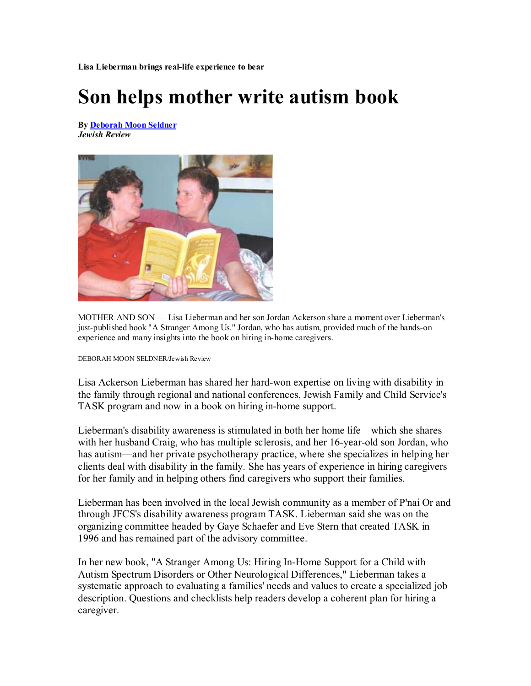**Lisa Lieberman brings real-life experience to bear** 

## **Son helps mother write autism book**

**By Deborah Moon Seldner** *Jewish Review*



MOTHER AND SON — Lisa Lieberman and her son Jordan Ackerson share a moment over Lieberman's just-published book "A Stranger Among Us." Jordan, who has autism, provided much of the hands-on experience and many insights into the book on hiring in-home caregivers.

DEBORAH MOON SELDNER/Jewish Review

Lisa Ackerson Lieberman has shared her hard-won expertise on living with disability in the family through regional and national conferences, Jewish Family and Child Service's TASK program and now in a book on hiring in-home support.

Lieberman's disability awareness is stimulated in both her home life—which she shares with her husband Craig, who has multiple sclerosis, and her 16-year-old son Jordan, who has autism—and her private psychotherapy practice, where she specializes in helping her clients deal with disability in the family. She has years of experience in hiring caregivers for her family and in helping others find caregivers who support their families.

Lieberman has been involved in the local Jewish community as a member of P'nai Or and through JFCS's disability awareness program TASK. Lieberman said she was on the organizing committee headed by Gaye Schaefer and Eve Stern that created TASK in 1996 and has remained part of the advisory committee.

In her new book, "A Stranger Among Us: Hiring In-Home Support for a Child with Autism Spectrum Disorders or Other Neurological Differences," Lieberman takes a systematic approach to evaluating a families' needs and values to create a specialized job description. Questions and checklists help readers develop a coherent plan for hiring a caregiver.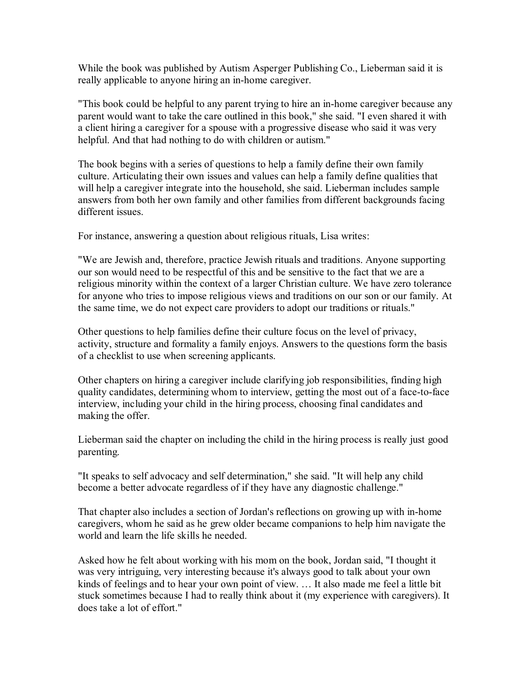While the book was published by Autism Asperger Publishing Co., Lieberman said it is really applicable to anyone hiring an in-home caregiver.

"This book could be helpful to any parent trying to hire an in-home caregiver because any parent would want to take the care outlined in this book," she said. "I even shared it with a client hiring a caregiver for a spouse with a progressive disease who said it was very helpful. And that had nothing to do with children or autism."

The book begins with a series of questions to help a family define their own family culture. Articulating their own issues and values can help a family define qualities that will help a caregiver integrate into the household, she said. Lieberman includes sample answers from both her own family and other families from different backgrounds facing different issues.

For instance, answering a question about religious rituals, Lisa writes:

"We are Jewish and, therefore, practice Jewish rituals and traditions. Anyone supporting our son would need to be respectful of this and be sensitive to the fact that we are a religious minority within the context of a larger Christian culture. We have zero tolerance for anyone who tries to impose religious views and traditions on our son or our family. At the same time, we do not expect care providers to adopt our traditions or rituals."

Other questions to help families define their culture focus on the level of privacy, activity, structure and formality a family enjoys. Answers to the questions form the basis of a checklist to use when screening applicants.

Other chapters on hiring a caregiver include clarifying job responsibilities, finding high quality candidates, determining whom to interview, getting the most out of a face-to-face interview, including your child in the hiring process, choosing final candidates and making the offer.

Lieberman said the chapter on including the child in the hiring process is really just good parenting.

"It speaks to self advocacy and self determination," she said. "It will help any child become a better advocate regardless of if they have any diagnostic challenge."

That chapter also includes a section of Jordan's reflections on growing up with in-home caregivers, whom he said as he grew older became companions to help him navigate the world and learn the life skills he needed.

Asked how he felt about working with his mom on the book, Jordan said, "I thought it was very intriguing, very interesting because it's always good to talk about your own kinds of feelings and to hear your own point of view. … It also made me feel a little bit stuck sometimes because I had to really think about it (my experience with caregivers). It does take a lot of effort."